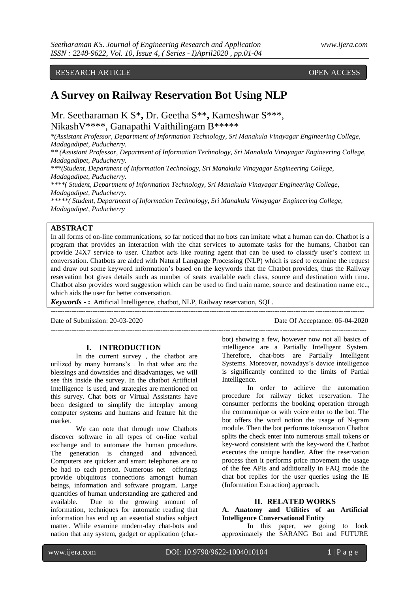# RESEARCH ARTICLE OPEN ACCESS

# **A Survey on Railway Reservation Bot Using NLP**

Mr. Seetharaman K S\* **,** Dr. Geetha S\*\***,** Kameshwar S\*\*\*, NikashV\*\*\*\*, Ganapathi Vaithilingam B\*\*\*\*\*

*\*(Assistant Professor, Department of Information Technology, Sri Manakula Vinayagar Engineering College, Madagadipet, Puducherry.* 

*\*\* (Assistant Professor, Department of Information Technology, Sri Manakula Vinayagar Engineering College, Madagadipet, Puducherry.* 

*\*\*\*(Student, Department of Information Technology, Sri Manakula Vinayagar Engineering College, Madagadipet, Puducherry.* 

*\*\*\*\*( Student, Department of Information Technology, Sri Manakula Vinayagar Engineering College, Madagadipet, Puducherry.* 

*\*\*\*\*\*( Student, Department of Information Technology, Sri Manakula Vinayagar Engineering College, Madagadipet, Puducherry*

# **ABSTRACT**

In all forms of on-line communications, so far noticed that no bots can imitate what a human can do. Chatbot is a program that provides an interaction with the chat services to automate tasks for the humans, Chatbot can provide 24X7 service to user. Chatbot acts like routing agent that can be used to classify user's context in conversation. Chatbots are aided with Natural Language Processing (NLP) which is used to examine the request and draw out some keyword information's based on the keywords that the Chatbot provides, thus the Railway reservation bot gives details such as number of seats available each class, source and destination with time. Chatbot also provides word suggestion which can be used to find train name, source and destination name etc.., which aids the user for better conversation.

--------------------------------------------------------------------------------------------------------------------------------------

---------------------------------------------------------------------------------------------------------------------------------------

*Keywords* **- :** Artificial Intelligence, chatbot, NLP, Railway reservation, SQL.

Date of Submission: 20-03-2020 Date Of Acceptance: 06-04-2020

#### **I. INTRODUCTION**

In the current survey , the chatbot are utilized by many humans's . In that what are the blessings and downsides and disadvantages, we will see this inside the survey. In the chatbot Artificial Intelligence is used, and strategies are mentioned on this survey. Chat bots or Virtual Assistants have been designed to simplify the interplay among computer systems and humans and feature hit the market.

We can note that through now Chatbots discover software in all types of on-line verbal exchange and to automate the human procedure. The generation is changed and advanced. Computers are quicker and smart telephones are to be had to each person. Numerous net offerings provide ubiquitous connections amongst human beings, information and software program. Large quantities of human understanding are gathered and available. Due to the growing amount of information, techniques for automatic reading that information has end up an essential studies subject matter. While examine modern-day chat-bots and nation that any system, gadget or application (chatbot) showing a few, however now not all basics of intelligence are a Partially Intelligent System. Therefore, chat-bots are Partially Intelligent Systems. Moreover, nowadays's device intelligence is significantly confined to the limits of Partial Intelligence.

In order to achieve the automation procedure for railway ticket reservation. The consumer performs the booking operation through the communique or with voice enter to the bot. The bot offers the word notion the usage of N-gram module. Then the bot performs tokenization Chatbot splits the check enter into numerous small tokens or key-word consistent with the key-word the Chatbot executes the unique handler. After the reservation process then it performs price movement the usage of the fee APIs and additionally in FAQ mode the chat bot replies for the user queries using the IE (Information Extraction) approach.

#### **II. RELATED WORKS**

## **A. Anatomy and Utilities of an Artificial Intelligence Conversational Entity**

In this paper, we going to look approximately the SARANG Bot and FUTURE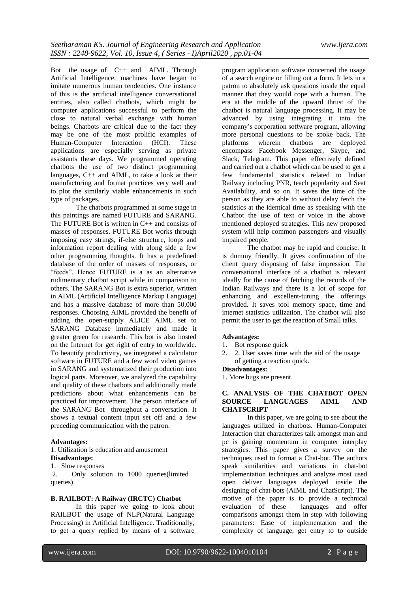Bot the usage of C++ and AIML. Through Artificial Intelligence, machines have began to imitate numerous human tendencies. One instance of this is the artificial intelligence conversational entities, also called chatbots, which might be computer applications successful to perform the close to natural verbal exchange with human beings. Chatbots are critical due to the fact they may be one of the most prolific examples of<br>Human-Computer Interaction (HCI). These Human-Computer Interaction (HCI). applications are especially serving as private assistants these days. We programmed operating chatbots the use of two distinct programming languages, C++ and AIML, to take a look at their manufacturing and format practices very well and to plot the similarly viable enhancements in such type of packages.

The chatbots programmed at some stage in this paintings are named FUTURE and SARANG. The FUTURE Bot is written in C++ and consists of masses of responses. FUTURE Bot works through imposing easy strings, if-else structure, loops and information report dealing with along side a few other programming thoughts. It has a predefined database of the order of masses of responses, or "feeds". Hence FUTURE is a as an alternative rudimentary chatbot script while in comparison to others. The SARANG Bot is extra superior, written in AIML (Artificial Intelligence Markup Language) and has a massive database of more than 50,000 responses. Choosing AIML provided the benefit of adding the open-supply ALICE AIML set to SARANG Database immediately and made it greater green for research. This bot is also hosted on the Internet for get right of entry to worldwide. To beautify productivity, we integrated a calculator software in FUTURE and a few word video games in SARANG and systematized their production into logical parts. Moreover, we analyzed the capability and quality of these chatbots and additionally made predictions about what enhancements can be practiced for improvement. The person interface of the SARANG Bot throughout a conversation. It shows a textual content input set off and a few preceding communication with the patron.

## **Advantages:**

1. Utilization is education and amusement **Disadvantage:**

1. Slow responses

2. Only solution to 1000 queries(limited queries)

#### **B. RAILBOT: A Railway (IRCTC) Chatbot**

In this paper we going to look about RAILBOT the usage of NLP(Natural Language Processing) in Artificial Intelligence. Traditionally, to get a query replied by means of a software program application software concerned the usage of a search engine or filling out a form. It lets in a patron to absolutely ask questions inside the equal manner that they would cope with a human. The era at the middle of the upward thrust of the chatbot is natural language processing. It may be advanced by using integrating it into the company's corporation software program, allowing more personal questions to be spoke back. The<br>platforms wherein chatbots are deployed platforms wherein chatbots are encompass Facebook Messenger, Skype, and Slack, Telegram. This paper effectively defined and carried out a chatbot which can be used to get a few fundamental statistics related to Indian Railway including PNR, teach popularity and Seat Availability, and so on. It saves the time of the person as they are able to without delay fetch the statistics at the identical time as speaking with the Chatbot the use of text or voice in the above mentioned deployed strategies. This new proposed system will help common passengers and visually impaired people.

The chatbot may be rapid and concise. It is dummy friendly. It gives confirmation of the client query disposing of false impression. The conversational interface of a chatbot is relevant ideally for the cause of fetching the records of the Indian Railways and there is a lot of scope for enhancing and excellent-tuning the offerings provided. It saves tool memory space, time and internet statistics utilization. The chatbot will also permit the user to get the reaction of Small talks.

#### **Advantages:**

- 1. Bot response quick
- 2. 2. User saves time with the aid of the usage of getting a reaction quick.

#### **Disadvantages:**

1. More bugs are present.

## **C. ANALYSIS OF THE CHATBOT OPEN SOURCE LANGUAGES AIML AND CHATSCRIPT**

In this paper, we are going to see about the languages utilized in chatbots. Human-Computer Interaction that characterizes talk amongst man and pc is gaining momentum in computer interplay strategies. This paper gives a survey on the techniques used to format a Chat-bot. The authors speak similarities and variations in chat-bot implementation techniques and analyze most used open deliver languages deployed inside the designing of chat-bots (AIML and ChatScript). The motive of the paper is to provide a technical evaluation of these languages and offer comparisons amongst them in step with following parameters: Ease of implementation and the complexity of language, get entry to to outside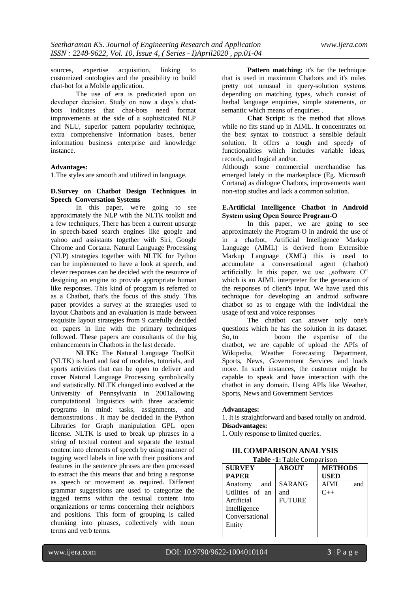sources, expertise acquisition, linking to customized ontologies and the possibility to build chat-bot for a Mobile application.

The use of era is predicated upon on developer decision. Study on now a days's chatbots indicates that chat-bots need format improvements at the side of a sophisticated NLP and NLU, superior pattern popularity technique, extra comprehensive information bases, better information business enterprise and knowledge instance.

#### **Advantages:**

1.The styles are smooth and utilized in language.

# **D.Survey on Chatbot Design Techniques in Speech Conversation Systems**

In this paper, we're going to see approximately the NLP with the NLTK toolkit and a few techniques, There has been a current upsurge in speech-based search engines like google and yahoo and assistants together with Siri, Google Chrome and Cortana. Natural Language Processing (NLP) strategies together with NLTK for Python can be implemented to have a look at speech, and clever responses can be decided with the resource of designing an engine to provide appropriate human like responses. This kind of program is referred to as a Chatbot, that's the focus of this study. This paper provides a survey at the strategies used to layout Chatbots and an evaluation is made between exquisite layout strategies from 9 carefully decided on papers in line with the primary techniques followed. These papers are consultants of the big enhancements in Chatbots in the last decade.

**NLTK:** The Natural Language ToolKit (NLTK) is hard and fast of modules, tutorials, and sports activities that can be open to deliver and cover Natural Language Processing symbolically and statistically. NLTK changed into evolved at the University of Pennsylvania in 2001allowing computational linguistics with three academic programs in mind: tasks, assignments, and demonstrations . It may be decided in the Python Libraries for Graph manipulation GPL open license. NLTK is used to break up phrases in a string of textual content and separate the textual content into elements of speech by using manner of tagging word labels in line with their positions and features in the sentence phrases are then processed to extract the this means that and bring a response as speech or movement as required. Different grammar suggestions are used to categorize the tagged terms within the textual content into organizations or terms concerning their neighbors and positions. This form of grouping is called chunking into phrases, collectively with noun terms and verb terms.

**Pattern matching:** it's far the technique that is used in maximum Chatbots and it's miles pretty not unusual in query-solution systems depending on matching types, which consist of herbal language enquiries, simple statements, or semantic which means of enquiries .

**Chat Script**: is the method that allows while no fits stand up in AIML. It concentrates on the best syntax to construct a sensible default solution. It offers a tough and speedy of functionalities which includes variable ideas, records, and logical and/or.

Although some commercial merchandise has emerged lately in the marketplace (Eg. Microsoft Cortana) as dialogue Chatbots, improvements want non-stop studies and lack a common solution.

#### **E.Artificial Intelligence Chatbot in Android System using Open Source Program-O**

In this paper, we are going to see approximately the Program-O in android the use of in a chatbot, Artificial Intelligence Markup Language (AIML) is derived from Extensible Markup Language (XML) this is used to accumulate a conversational agent (chatbot) artificially. In this paper, we use  $,$ software O" which is an AIML interpreter for the generation of the responses of client's input. We have used this technique for developing an android software chatbot so as to engage with the individual the usage of text and voice responses

The chatbot can answer only one's questions which he has the solution in its dataset. So, to boom the expertise of the chatbot, we are capable of upload the APIs of Wikipedia, Weather Forecasting Department, Sports, News, Government Services and loads more. In such instances, the customer might be capable to speak and have interaction with the chatbot in any domain. Using APIs like Weather, Sports, News and Government Services

#### **Advantages:**

1. It is straightforward and based totally on android. **Disadvantages:**

1. Only response to limited queries.

#### **III. COMPARISON ANALYSIS Table -1:** Table Comparison

| $1$ apro $-1$ . Tapic comparison |               |                |  |
|----------------------------------|---------------|----------------|--|
| <b>SURVEY</b>                    | <b>ABOUT</b>  | <b>METHODS</b> |  |
| <b>PAPER</b>                     |               | <b>USED</b>    |  |
| and<br>Anatomy                   | <b>SARANG</b> | AIML<br>and    |  |
| Utilities of an                  | and           | $C_{++}$       |  |
| Artificial                       | <b>FUTURE</b> |                |  |
| Intelligence                     |               |                |  |
| Conversational                   |               |                |  |
| Entity                           |               |                |  |
|                                  |               |                |  |